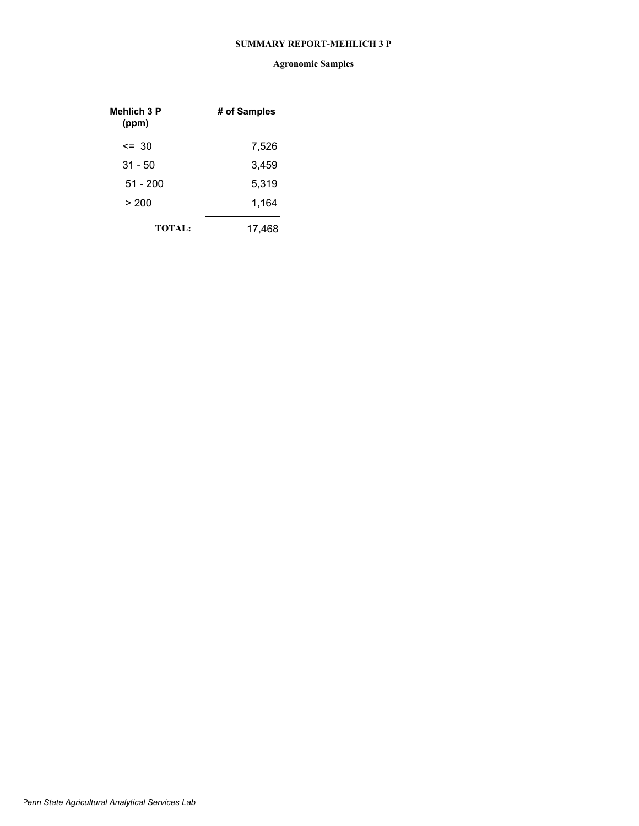#### **SUMMARY REPORT-MEHLICH 3 P**

| Mehlich 3 P<br>(ppm) | # of Samples |
|----------------------|--------------|
| $\leq$ 30            | 7,526        |
| $31 - 50$            | 3,459        |
| $51 - 200$           | 5,319        |
| > 200                | 1,164        |
| <b>TOTAL:</b>        | 17,468       |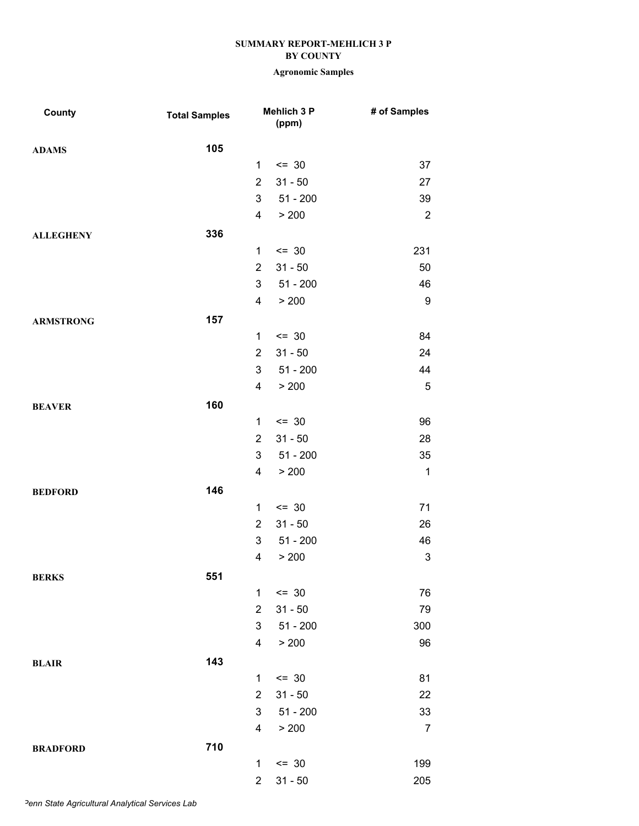| County           | <b>Total Samples</b> |                | Mehlich 3 P<br>(ppm) | # of Samples              |
|------------------|----------------------|----------------|----------------------|---------------------------|
| <b>ADAMS</b>     | 105                  |                |                      |                           |
|                  |                      | 1              | $= 30$               | 37                        |
|                  |                      | $\overline{2}$ | $31 - 50$            | 27                        |
|                  |                      | 3              | $51 - 200$           | 39                        |
|                  |                      | 4              | > 200                | $\sqrt{2}$                |
| <b>ALLEGHENY</b> | 336                  |                |                      |                           |
|                  |                      | 1              | $= 30$               | 231                       |
|                  |                      | $\overline{2}$ | $31 - 50$            | 50                        |
|                  |                      | 3              | $51 - 200$           | 46                        |
|                  |                      | 4              | > 200                | $\boldsymbol{9}$          |
| <b>ARMSTRONG</b> | 157                  |                |                      |                           |
|                  |                      | $\mathbf{1}$   | $\leq$ 30            | 84                        |
|                  |                      | $\overline{2}$ | $31 - 50$            | 24                        |
|                  |                      | 3              | $51 - 200$           | 44                        |
|                  |                      | 4              | > 200                | $\mathbf 5$               |
| <b>BEAVER</b>    | 160                  |                |                      |                           |
|                  |                      | $\mathbf{1}$   | $= 30$               | 96                        |
|                  |                      | $\overline{2}$ | $31 - 50$            | 28                        |
|                  |                      | 3              | $51 - 200$           | 35                        |
|                  |                      | 4              | > 200                | $\mathbf 1$               |
| <b>BEDFORD</b>   | 146                  |                |                      |                           |
|                  |                      | 1              | $= 30$               | 71                        |
|                  |                      | $\overline{2}$ | $31 - 50$            | 26                        |
|                  |                      | 3              | $51 - 200$           | 46                        |
|                  |                      | 4              | > 200                | $\ensuremath{\mathsf{3}}$ |
| <b>BERKS</b>     | 551                  |                |                      |                           |
|                  |                      | $\mathbf{1}$   | $\leq$ 30            | 76                        |
|                  |                      | $\overline{2}$ | $31 - 50$            | 79                        |
|                  |                      | 3              | $51 - 200$           | 300                       |
|                  |                      | 4              | > 200                | 96                        |
| <b>BLAIR</b>     | 143                  |                |                      |                           |
|                  |                      | 1              | $= 30$               | 81                        |
|                  |                      | $\overline{2}$ | $31 - 50$            | 22                        |
|                  |                      | 3              | $51 - 200$           | 33                        |
|                  |                      | 4              | > 200                | $\overline{7}$            |
| <b>BRADFORD</b>  | 710                  |                |                      |                           |
|                  |                      | 1              | $= 30$               | 199                       |
|                  |                      | $\overline{c}$ | $31 - 50$            | 205                       |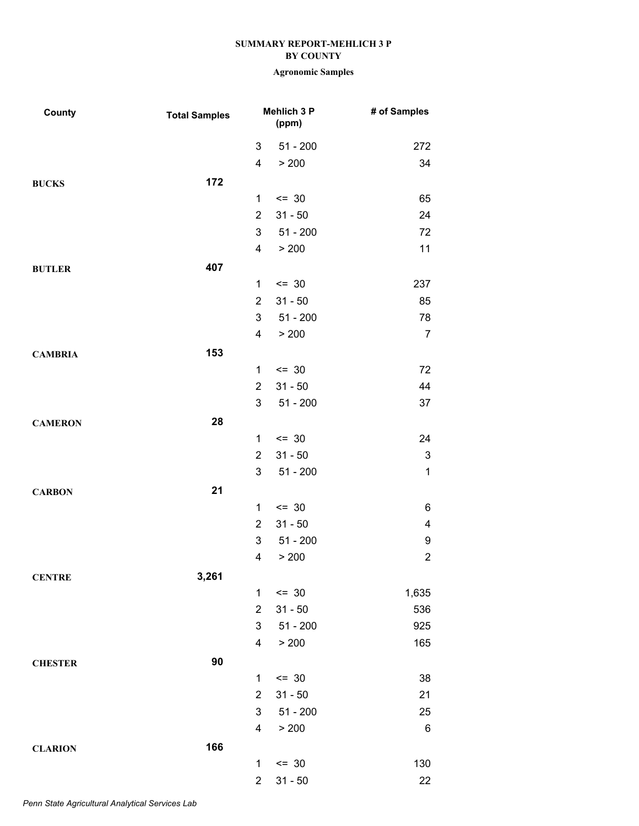| County         | <b>Total Samples</b> |                | <b>Mehlich 3 P</b><br>(ppm) | # of Samples              |
|----------------|----------------------|----------------|-----------------------------|---------------------------|
|                |                      | 3              | $51 - 200$                  | 272                       |
|                |                      | 4              | > 200                       | 34                        |
| <b>BUCKS</b>   | 172                  |                |                             |                           |
|                |                      | $\mathbf{1}$   | $= 30$                      | 65                        |
|                |                      | $\overline{2}$ | $31 - 50$                   | 24                        |
|                |                      | 3              | $51 - 200$                  | 72                        |
|                |                      | 4              | > 200                       | 11                        |
| <b>BUTLER</b>  | 407                  |                |                             |                           |
|                |                      | 1              | $= 30$                      | 237                       |
|                |                      | $\overline{2}$ | $31 - 50$                   | 85                        |
|                |                      | 3              | $51 - 200$                  | 78                        |
|                |                      | 4              | > 200                       | $\overline{7}$            |
| <b>CAMBRIA</b> | 153                  |                |                             |                           |
|                |                      | 1              | $= 30$                      | 72                        |
|                |                      | $\overline{2}$ | $31 - 50$                   | 44                        |
|                |                      | 3              | $51 - 200$                  | 37                        |
| <b>CAMERON</b> | 28                   |                |                             |                           |
|                |                      | 1              | $= 30$                      | 24                        |
|                |                      | $\overline{2}$ | $31 - 50$                   | $\ensuremath{\mathsf{3}}$ |
|                |                      | 3              | $51 - 200$                  | $\mathbf 1$               |
| <b>CARBON</b>  | 21                   |                |                             |                           |
|                |                      | 1              | $= 30$                      | 6                         |
|                |                      | $\overline{2}$ | $31 - 50$                   | $\overline{\mathbf{4}}$   |
|                |                      | 3              | $51 - 200$                  | $\boldsymbol{9}$          |
|                |                      | 4              | > 200                       | $\boldsymbol{2}$          |
| <b>CENTRE</b>  | 3,261                |                |                             |                           |
|                |                      | $\mathbf{1}$   | $= 30$                      | 1,635                     |
|                |                      | $\overline{2}$ | $31 - 50$                   | 536                       |
|                |                      | 3              | $51 - 200$                  | 925                       |
|                |                      | 4              | > 200                       | 165                       |
| <b>CHESTER</b> | 90                   |                |                             |                           |
|                |                      | $\mathbf{1}$   | $= 30$                      | 38                        |
|                |                      | $\overline{2}$ | $31 - 50$                   | 21                        |
|                |                      | 3              | $51 - 200$                  | 25                        |
|                |                      | 4              | > 200                       | 6                         |
| <b>CLARION</b> | 166                  |                |                             |                           |
|                |                      | 1              | $= 30$                      | 130                       |
|                |                      | $\overline{c}$ | $31 - 50$                   | 22                        |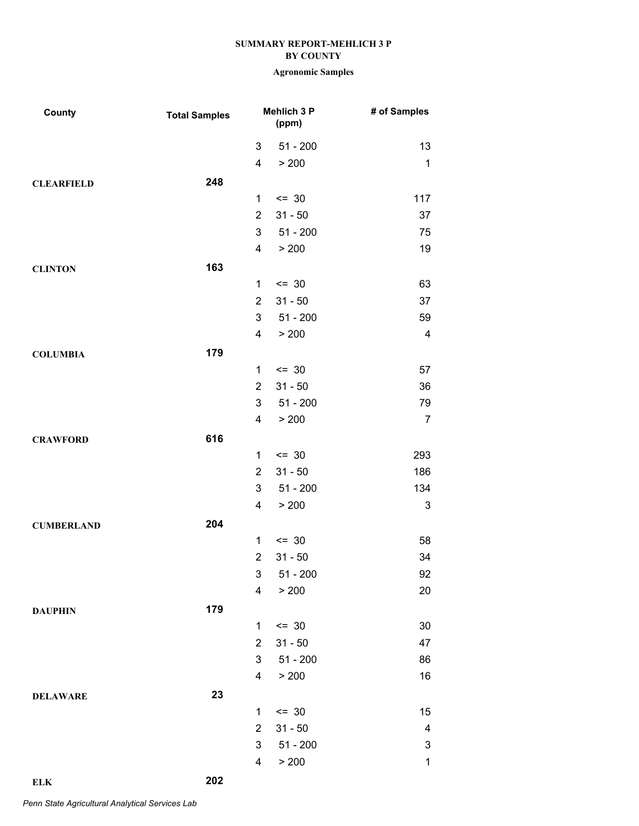# **Agronomic Samples**

| County            | <b>Total Samples</b> |                         | Mehlich 3 P<br>(ppm) | # of Samples              |
|-------------------|----------------------|-------------------------|----------------------|---------------------------|
|                   |                      | 3                       | $51 - 200$           | 13                        |
|                   |                      | 4                       | > 200                | $\mathbf 1$               |
| <b>CLEARFIELD</b> | 248                  |                         |                      |                           |
|                   |                      | $\mathbf{1}$            | $\leq$ 30            | 117                       |
|                   |                      | $\overline{2}$          | $31 - 50$            | 37                        |
|                   |                      | 3                       | $51 - 200$           | 75                        |
|                   |                      | 4                       | > 200                | 19                        |
| <b>CLINTON</b>    | 163                  |                         |                      |                           |
|                   |                      | $\mathbf{1}$            | $= 30$               | 63                        |
|                   |                      | $\overline{2}$          | $31 - 50$            | 37                        |
|                   |                      | 3                       | $51 - 200$           | 59                        |
|                   |                      | 4                       | > 200                | $\overline{\mathbf{4}}$   |
| <b>COLUMBIA</b>   | 179                  |                         |                      |                           |
|                   |                      | 1                       | $\leq$ 30            | 57                        |
|                   |                      | $\overline{2}$          | $31 - 50$            | 36                        |
|                   |                      | 3                       | $51 - 200$           | 79                        |
|                   |                      | 4                       | > 200                | $\overline{7}$            |
| <b>CRAWFORD</b>   | 616                  |                         |                      |                           |
|                   |                      | $\mathbf{1}$            | $\leq$ 30            | 293                       |
|                   |                      | $\overline{2}$          | $31 - 50$            | 186                       |
|                   |                      | 3                       | $51 - 200$           | 134                       |
|                   |                      | $\overline{\mathbf{4}}$ | > 200                | 3                         |
| <b>CUMBERLAND</b> | 204                  |                         |                      |                           |
|                   |                      | 1                       | $= 30$               | 58                        |
|                   |                      | $\overline{2}$          | $31 - 50$            | 34                        |
|                   |                      |                         | $3 51 - 200$         | 92                        |
|                   |                      | 4                       | > 200                | 20                        |
| <b>DAUPHIN</b>    | 179                  |                         |                      |                           |
|                   |                      | 1                       | $\leq$ 30            | 30                        |
|                   |                      | $\overline{2}$          | $31 - 50$            | 47                        |
|                   |                      | 3                       | $51 - 200$           | 86                        |
|                   |                      | $\overline{\mathbf{4}}$ | > 200                | 16                        |
| <b>DELAWARE</b>   | 23                   |                         |                      |                           |
|                   |                      | 1                       | $= 30$               | 15                        |
|                   |                      | $\overline{2}$          | $31 - 50$            | $\overline{\mathbf{4}}$   |
|                   |                      | 3                       | $51 - 200$           | $\ensuremath{\mathsf{3}}$ |
|                   |                      | 4                       | > 200                | $\mathbf{1}$              |
|                   |                      |                         |                      |                           |

*Penn State Agricultural Analytical Services Lab*

**ELK 202**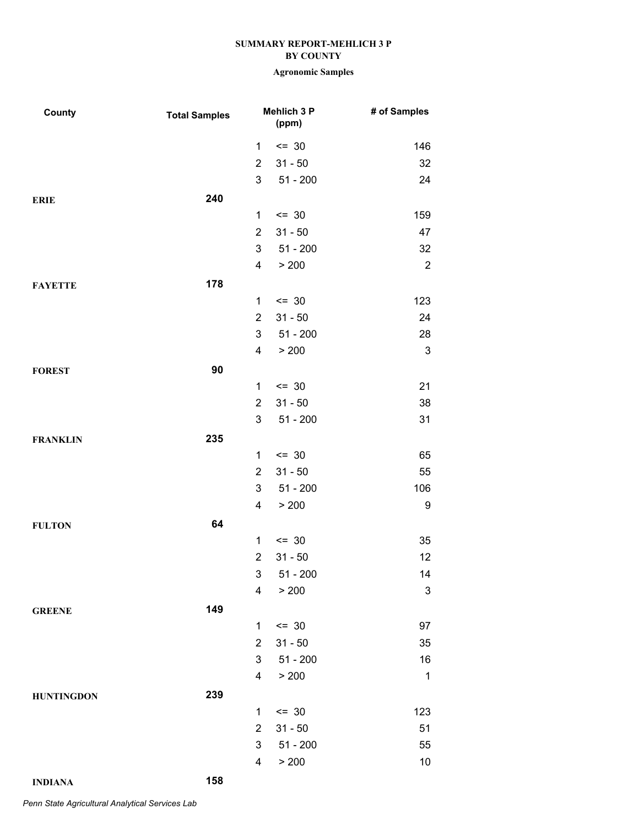# **Agronomic Samples**

| County            | <b>Total Samples</b> |                | Mehlich 3 P<br>(ppm) | # of Samples              |
|-------------------|----------------------|----------------|----------------------|---------------------------|
|                   |                      | 1              | $= 30$               | 146                       |
|                   |                      | $\overline{2}$ | $31 - 50$            | 32                        |
|                   |                      | $\mathbf{3}$   | $51 - 200$           | 24                        |
| <b>ERIE</b>       | 240                  |                |                      |                           |
|                   |                      | 1              | $\leq$ 30            | 159                       |
|                   |                      | $\overline{2}$ | $31 - 50$            | 47                        |
|                   |                      | 3              | $51 - 200$           | 32                        |
|                   |                      | 4              | > 200                | $\sqrt{2}$                |
| <b>FAYETTE</b>    | 178                  |                |                      |                           |
|                   |                      | 1              | $\leq$ 30            | 123                       |
|                   |                      | $\overline{2}$ | $31 - 50$            | 24                        |
|                   |                      | 3              | $51 - 200$           | 28                        |
|                   |                      | 4              | > 200                | $\ensuremath{\mathsf{3}}$ |
| <b>FOREST</b>     | 90                   |                |                      |                           |
|                   |                      | $\mathbf{1}$   | $\leq$ 30            | 21                        |
|                   |                      | $\overline{2}$ | $31 - 50$            | 38                        |
|                   |                      | 3              | $51 - 200$           | 31                        |
| <b>FRANKLIN</b>   | 235                  |                |                      |                           |
|                   |                      | $\mathbf 1$    | $\leq$ 30            | 65                        |
|                   |                      | $\overline{2}$ | $31 - 50$            | 55                        |
|                   |                      | 3              | $51 - 200$           | 106                       |
|                   |                      | 4              | > 200                | 9                         |
| <b>FULTON</b>     | 64                   |                |                      |                           |
|                   |                      | 1              | $= 30$               | 35                        |
|                   |                      | $\overline{2}$ | $31 - 50$            | 12                        |
|                   |                      | 3 <sup>7</sup> | 51 - 200             | 14                        |
|                   |                      | 4              | > 200                | $\ensuremath{\mathsf{3}}$ |
| <b>GREENE</b>     | 149                  |                |                      |                           |
|                   |                      | 1              | $= 30$               | 97                        |
|                   |                      | $\overline{2}$ | $31 - 50$            | 35                        |
|                   |                      | 3              | $51 - 200$           | 16                        |
|                   |                      | 4              | > 200                | $\mathbf{1}$              |
| <b>HUNTINGDON</b> | 239                  |                |                      |                           |
|                   |                      | 1              | $= 30$               | 123                       |
|                   |                      | $\overline{2}$ | $31 - 50$            | 51                        |
|                   |                      | 3              | $51 - 200$           | 55                        |
|                   |                      | 4              | > 200                | 10                        |
| <b>INDIANA</b>    | 158                  |                |                      |                           |

*Penn State Agricultural Analytical Services Lab*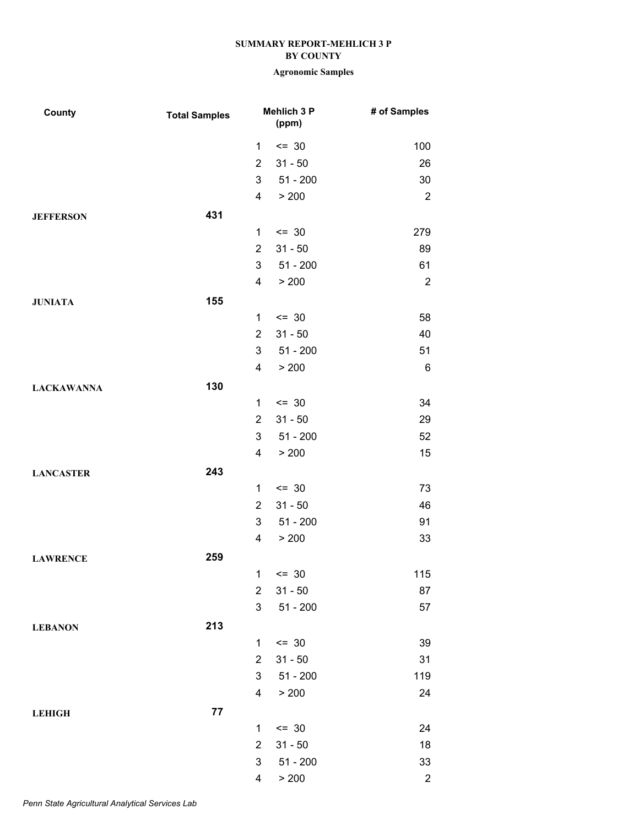| County            | <b>Total Samples</b> |                | Mehlich 3 P<br>(ppm) | # of Samples   |
|-------------------|----------------------|----------------|----------------------|----------------|
|                   |                      | 1              | $= 30$               | 100            |
|                   |                      | $\overline{2}$ | $31 - 50$            | 26             |
|                   |                      | 3              | $51 - 200$           | 30             |
|                   |                      | 4              | > 200                | $\sqrt{2}$     |
| <b>JEFFERSON</b>  | 431                  |                |                      |                |
|                   |                      | 1              | $= 30$               | 279            |
|                   |                      | $\overline{2}$ | $31 - 50$            | 89             |
|                   |                      | 3              | $51 - 200$           | 61             |
|                   |                      | 4              | > 200                | $\sqrt{2}$     |
| <b>JUNIATA</b>    | 155                  |                |                      |                |
|                   |                      | 1              | $= 30$               | 58             |
|                   |                      | $\overline{2}$ | $31 - 50$            | 40             |
|                   |                      | 3              | $51 - 200$           | 51             |
|                   |                      | 4              | > 200                | $\,6$          |
| <b>LACKAWANNA</b> | 130                  |                |                      |                |
|                   |                      | 1              | $= 30$               | 34             |
|                   |                      | $\overline{2}$ | $31 - 50$            | 29             |
|                   |                      | 3              | $51 - 200$           | 52             |
|                   |                      | 4              | > 200                | 15             |
| <b>LANCASTER</b>  | 243                  |                |                      |                |
|                   |                      | 1              | $= 30$               | 73             |
|                   |                      | $\overline{2}$ | $31 - 50$            | 46             |
|                   |                      | 3              | $51 - 200$           | 91             |
|                   |                      | 4              | > 200                | 33             |
| <b>LAWRENCE</b>   | 259                  |                |                      |                |
|                   |                      |                | $1 \le 30$           | 115            |
|                   |                      | $\overline{2}$ | $31 - 50$            | 87             |
|                   |                      | 3              | $51 - 200$           | 57             |
| <b>LEBANON</b>    | 213                  |                |                      |                |
|                   |                      | $\mathbf{1}$   | $\leq$ 30            | 39             |
|                   |                      | $\overline{2}$ | $31 - 50$            | 31             |
|                   |                      | 3              | $51 - 200$           | 119            |
|                   |                      | 4              | > 200                | 24             |
| <b>LEHIGH</b>     | ${\bf 77}$           |                |                      |                |
|                   |                      | $\mathbf{1}$   | $= 30$               | 24             |
|                   |                      | $\overline{2}$ | $31 - 50$            | 18             |
|                   |                      | 3              | $51 - 200$           | 33             |
|                   |                      | 4              | > 200                | $\overline{c}$ |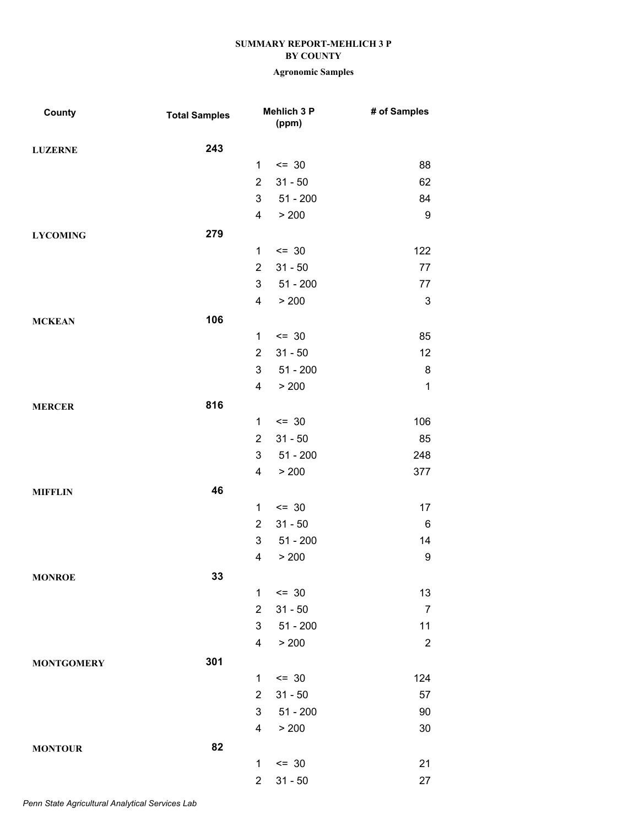| County            | <b>Total Samples</b> |                | <b>Mehlich 3 P</b><br>(ppm) | # of Samples     |
|-------------------|----------------------|----------------|-----------------------------|------------------|
| <b>LUZERNE</b>    | 243                  |                |                             |                  |
|                   |                      | 1              | $= 30$                      | 88               |
|                   |                      | $\overline{2}$ | $31 - 50$                   | 62               |
|                   |                      | 3              | $51 - 200$                  | 84               |
|                   |                      | $\overline{4}$ | > 200                       | $\boldsymbol{9}$ |
| <b>LYCOMING</b>   | 279                  |                |                             |                  |
|                   |                      | 1              | $\leq$ 30                   | 122              |
|                   |                      | $\overline{2}$ | $31 - 50$                   | 77               |
|                   |                      | 3              | $51 - 200$                  | 77               |
|                   |                      | $\overline{4}$ | > 200                       | $\sqrt{3}$       |
| <b>MCKEAN</b>     | 106                  |                |                             |                  |
|                   |                      | $\mathbf{1}$   | $\leq$ 30                   | 85               |
|                   |                      | $\overline{2}$ | $31 - 50$                   | 12               |
|                   |                      | 3              | $51 - 200$                  | $\bf 8$          |
|                   |                      | $\overline{4}$ | > 200                       | $\mathbf 1$      |
| <b>MERCER</b>     | 816                  |                |                             |                  |
|                   |                      | $\mathbf 1$    | $= 30$                      | 106              |
|                   |                      | $\overline{2}$ | $31 - 50$                   | 85               |
|                   |                      | 3              | $51 - 200$                  | 248              |
|                   |                      | $\overline{4}$ | > 200                       | 377              |
| <b>MIFFLIN</b>    | 46                   |                |                             |                  |
|                   |                      | $\mathbf{1}$   | $= 30$                      | 17               |
|                   |                      | $\overline{2}$ | $31 - 50$                   | $\,6$            |
|                   |                      | 3              | $51 - 200$                  | 14               |
|                   |                      | 4              | > 200                       | 9                |
| <b>MONROE</b>     | 33                   |                |                             |                  |
|                   |                      | $\mathbf{1}$   | $= 30$                      | 13               |
|                   |                      | $\overline{2}$ | $31 - 50$                   | $\overline{7}$   |
|                   |                      | 3              | $51 - 200$                  | 11               |
|                   |                      | 4              | > 200                       | $\sqrt{2}$       |
| <b>MONTGOMERY</b> | 301                  |                |                             |                  |
|                   |                      | 1              | $= 30$                      | 124              |
|                   |                      | $\overline{2}$ | $31 - 50$                   | 57               |
|                   |                      | 3              | $51 - 200$                  | 90               |
|                   |                      | 4              | > 200                       | 30               |
| <b>MONTOUR</b>    | 82                   |                |                             |                  |
|                   |                      | 1              | $= 30$                      | 21               |
|                   |                      | $\overline{2}$ | $31 - 50$                   | 27               |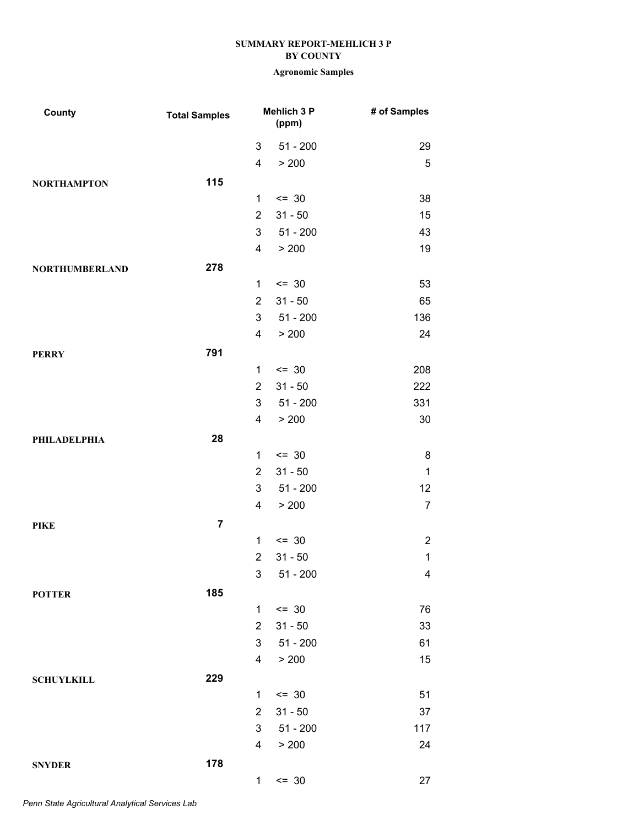| County                | <b>Total Samples</b>    |                | Mehlich 3 P<br>(ppm) | # of Samples   |
|-----------------------|-------------------------|----------------|----------------------|----------------|
|                       |                         | 3              | $51 - 200$           | 29             |
|                       |                         | 4              | > 200                | $\mathbf 5$    |
| <b>NORTHAMPTON</b>    | 115                     |                |                      |                |
|                       |                         | $\mathbf{1}$   | $= 30$               | 38             |
|                       |                         | $\overline{2}$ | $31 - 50$            | 15             |
|                       |                         | 3              | $51 - 200$           | 43             |
|                       |                         | 4              | > 200                | 19             |
| <b>NORTHUMBERLAND</b> | 278                     |                |                      |                |
|                       |                         | 1              | $= 30$               | 53             |
|                       |                         | $\overline{2}$ | $31 - 50$            | 65             |
|                       |                         | 3              | $51 - 200$           | 136            |
|                       |                         | 4              | > 200                | 24             |
| <b>PERRY</b>          | 791                     |                |                      |                |
|                       |                         | 1              | $= 30$               | 208            |
|                       |                         | $\overline{2}$ | $31 - 50$            | 222            |
|                       |                         | 3              | $51 - 200$           | 331            |
|                       |                         | 4              | > 200                | 30             |
| <b>PHILADELPHIA</b>   | 28                      |                |                      |                |
|                       |                         | 1              | $= 30$               | $\bf 8$        |
|                       |                         | $\overline{2}$ | $31 - 50$            | $\mathbf 1$    |
|                       |                         | 3              | $51 - 200$           | 12             |
|                       |                         | 4              | > 200                | $\overline{7}$ |
| <b>PIKE</b>           | $\overline{\mathbf{7}}$ |                |                      |                |
|                       |                         | 1              | $= 30$               | $\overline{2}$ |
|                       |                         | $\overline{c}$ | $31 - 50$            | $\mathbf 1$    |
|                       |                         | 3 <sup>7</sup> | $51 - 200$           | 4              |
| <b>POTTER</b>         | 185                     |                |                      |                |
|                       |                         | 1              | $= 30$               | 76             |
|                       |                         | $\overline{2}$ | $31 - 50$            | 33             |
|                       |                         | 3              | $51 - 200$           | 61             |
|                       |                         | 4              | > 200                | 15             |
| <b>SCHUYLKILL</b>     | 229                     |                |                      |                |
|                       |                         | 1              | $= 30$               | 51             |
|                       |                         | $\overline{2}$ | $31 - 50$            | 37             |
|                       |                         | 3              | $51 - 200$           | 117            |
|                       |                         | 4              | > 200                | 24             |
| <b>SNYDER</b>         | 178                     |                |                      |                |
|                       |                         | $\mathbf 1$    | $= 30$               | 27             |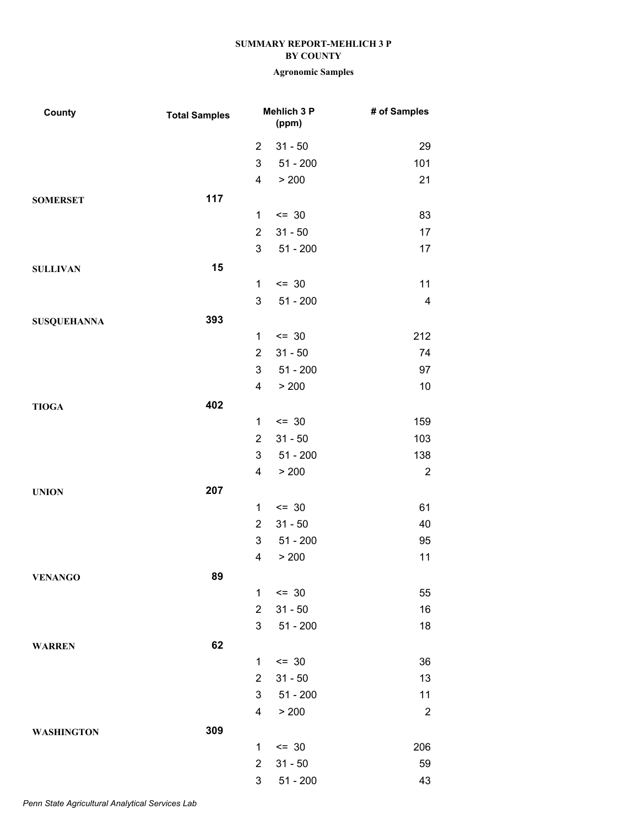| County             | <b>Total Samples</b> |                         | Mehlich 3 P<br>(ppm) | # of Samples     |
|--------------------|----------------------|-------------------------|----------------------|------------------|
|                    |                      | $\overline{2}$          | $31 - 50$            | 29               |
|                    |                      | 3                       | $51 - 200$           | 101              |
|                    |                      | $\overline{\mathbf{4}}$ | > 200                | 21               |
| <b>SOMERSET</b>    | 117                  |                         |                      |                  |
|                    |                      | 1                       | $= 30$               | 83               |
|                    |                      | $\overline{2}$          | $31 - 50$            | 17               |
|                    |                      | 3                       | $51 - 200$           | 17               |
| <b>SULLIVAN</b>    | 15                   |                         |                      |                  |
|                    |                      | $\mathbf{1}$            | $= 30$               | 11               |
|                    |                      | 3                       | $51 - 200$           | 4                |
| <b>SUSQUEHANNA</b> | 393                  |                         |                      |                  |
|                    |                      | $\mathbf{1}$            | $= 30$               | 212              |
|                    |                      | $\overline{2}$          | $31 - 50$            | 74               |
|                    |                      | 3                       | $51 - 200$           | 97               |
|                    |                      | 4                       | > 200                | 10               |
| <b>TIOGA</b>       | 402                  |                         |                      |                  |
|                    |                      | 1                       | $= 30$               | 159              |
|                    |                      | $\overline{2}$          | $31 - 50$            | 103              |
|                    |                      | 3                       | $51 - 200$           | 138              |
|                    |                      | 4                       | > 200                | $\sqrt{2}$       |
| <b>UNION</b>       | 207                  |                         |                      |                  |
|                    |                      | $\mathbf{1}$            | $= 30$               | 61               |
|                    |                      | $\overline{2}$          | $31 - 50$            | 40               |
|                    |                      | 3                       | $51 - 200$           | 95               |
|                    |                      | 4                       | > 200                | 11               |
| <b>VENANGO</b>     | 89                   |                         |                      |                  |
|                    |                      | $\mathbf{1}$            | $= 30$               | 55               |
|                    |                      | $\overline{2}$          | $31 - 50$            | 16               |
|                    |                      | 3                       | $51 - 200$           | 18               |
| <b>WARREN</b>      | 62                   |                         |                      |                  |
|                    |                      | 1                       | $= 30$               | 36               |
|                    |                      | $\overline{2}$          | $31 - 50$            | 13               |
|                    |                      | 3                       | $51 - 200$           | 11               |
|                    |                      | 4                       | > 200                | $\boldsymbol{2}$ |
| <b>WASHINGTON</b>  | 309                  |                         |                      |                  |
|                    |                      | 1                       | $= 30$               | 206              |
|                    |                      | $\overline{2}$          | $31 - 50$            | 59               |
|                    |                      | 3                       | $51 - 200$           | 43               |